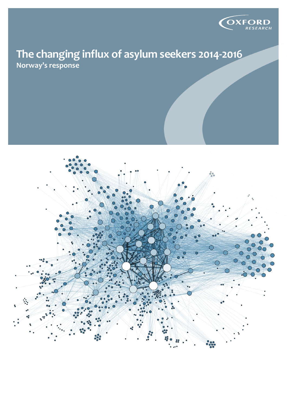

## **The changing influx of asylum seekers 2014-2016 Norway's response**

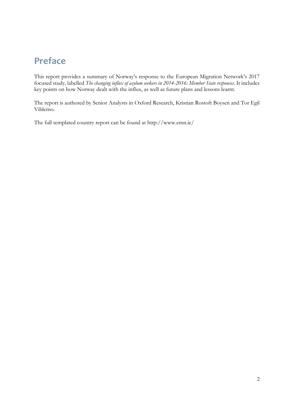# **Preface**

This report provides a summary of Norway's response to the European Migration Network's 2017 focused study, labelled *The changing influx of asylum seekers in 2014-2016: Member State responses*. It includes key points on how Norway dealt with the influx, as well as future plans and lessons learnt.

The report is authored by Senior Analysts in Oxford Research, Kristian Rostoft Boysen and Tor Egil Viblemo.

The full templated country report can be found at <http://www.emn.ie/>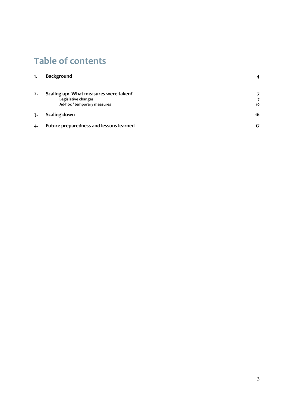# **Table of contents**

| 1. | <b>Background</b>                                                                           |    |
|----|---------------------------------------------------------------------------------------------|----|
| 2. | Scaling up: What measures were taken?<br>Legislative changes<br>Ad-hoc / temporary measures | 10 |
| 3. | Scaling down                                                                                | 16 |
| 4. | Future preparedness and lessons learned                                                     | 17 |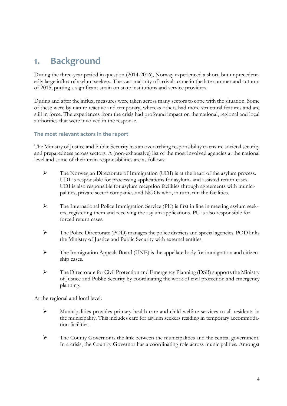## <span id="page-3-0"></span>**1. Background**

During the three-year period in question (2014-2016), Norway experienced a short, but unprecedentedly large influx of asylum seekers. The vast majority of arrivals came in the late summer and autumn of 2015, putting a significant strain on state institutions and service providers.

During and after the influx, measures were taken across many sectors to cope with the situation. Some of these were by nature reactive and temporary, whereas others had more structural features and are still in force. The experiences from the crisis had profound impact on the national, regional and local authorities that were involved in the response.

### **The most relevant actors in the report**

The Ministry of Justice and Public Security has an overarching responsibility to ensure societal security and preparedness across sectors. A (non-exhaustive) list of the most involved agencies at the national level and some of their main responsibilities are as follows:

- ➢ The Norwegian Directorate of Immigration (UDI) is at the heart of the asylum process. UDI is responsible for processing applications for asylum- and assisted return cases. UDI is also responsible for asylum reception facilities through agreements with municipalities, private sector companies and NGOs who, in turn, run the facilities.
- ➢ The International Police Immigration Service (PU) is first in line in meeting asylum seekers, registering them and receiving the asylum applications. PU is also responsible for forced return cases.
- ➢ The Police Directorate (POD) manages the police districts and special agencies. POD links the Ministry of Justice and Public Security with external entities.
- ➢ The Immigration Appeals Board (UNE) is the appellate body for immigration and citizenship cases.
- ➢ The Directorate for Civil Protection and Emergency Planning (DSB) supports the Ministry of Justice and Public Security by coordinating the work of civil protection and emergency planning.

At the regional and local level:

- ➢ Municipalities provides primary health care and child welfare services to all residents in the municipality. This includes care for asylum seekers residing in temporary accommodation facilities.
- ➢ The County Governor is the link between the municipalities and the central government. In a crisis, the Country Governor has a coordinating role across municipalities. Amongst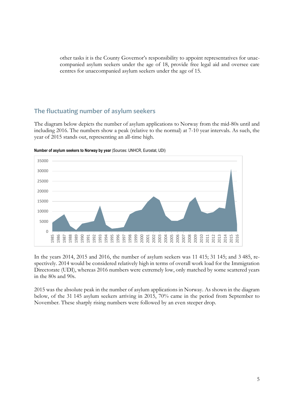other tasks it is the County Governor's responsibility to appoint representatives for unaccompanied asylum seekers under the age of 18, provide free legal aid and oversee care centres for unaccompanied asylum seekers under the age of 15.

### **The fluctuating number of asylum seekers**

The diagram below depicts the number of asylum applications to Norway from the mid-80s until and including 2016. The numbers show a peak (relative to the normal) at 7-10 year intervals. As such, the year of 2015 stands out, representing an all-time high.



**Number of asylum seekers to Norway by year** (Sources: UNHCR, Eurostat, UDI)

In the years 2014, 2015 and 2016, the number of asylum seekers was 11 415; 31 145; and 3 485, respectively. 2014 would be considered relatively high in terms of overall work load for the Immigration Directorate (UDI), whereas 2016 numbers were extremely low, only matched by some scattered years in the 80s and 90s.

2015 was the absolute peak in the number of asylum applications in Norway. As shown in the diagram below, of the 31 145 asylum seekers arriving in 2015, 70% came in the period from September to November. These sharply rising numbers were followed by an even steeper drop.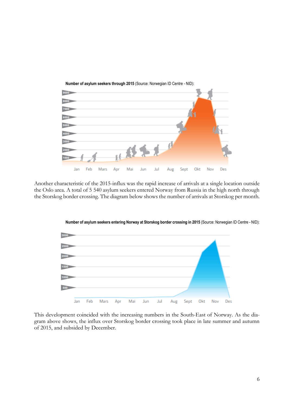

Another characteristic of the 2015-influx was the rapid increase of arrivals at a single location outside the Oslo area. A total of 5 540 asylum seekers entered Norway from Russia in the high north through the Storskog border crossing. The diagram below shows the number of arrivals at Storskog per month.



**Number of asylum seekers entering Norway at Storskog border crossing in 2015** (Source: Norwegian ID Centre - NID):

This development coincided with the increasing numbers in the South-East of Norway. As the diagram above shows, the influx over Storskog border crossing took place in late summer and autumn of 2015, and subsided by December.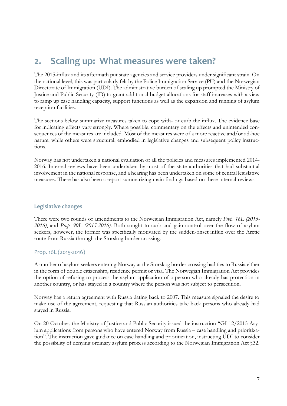## <span id="page-6-0"></span>**2. Scaling up: What measures were taken?**

The 2015-influx and its aftermath put state agencies and service providers under significant strain. On the national level, this was particularly felt by the Police Immigration Service (PU) and the Norwegian Directorate of Immigration (UDI). The administrative burden of scaling up prompted the Ministry of Justice and Public Security (JD) to grant additional budget allocations for staff increases with a view to ramp up case handling capacity, support functions as well as the expansion and running of asylum reception facilities.

The sections below summarize measures taken to cope with- or curb the influx. The evidence base for indicating effects vary strongly. Where possible, commentary on the effects and unintended consequences of the measures are included. Most of the measures were of a more reactive and/or ad-hoc nature, while others were structural, embodied in legislative changes and subsequent policy instructions.

Norway has not undertaken a national evaluation of all the policies and measures implemented 2014- 2016. Internal reviews have been undertaken by most of the state authorities that had substantial involvement in the national response, and a hearing has been undertaken on some of central legislative measures. There has also been a report summarizing main findings based on these internal reviews.

#### <span id="page-6-1"></span>**Legislative changes**

There were two rounds of amendments to the Norwegian Immigration Act, namely *Prop. 16L (2015- 2016)*, and *Prop. 90L (2015-2016)*. Both sought to curb and gain control over the flow of asylum seekers, however, the former was specifically motivated by the sudden-onset influx over the Arctic route from Russia through the Storskog border crossing.

### Prop. 16L (2015-2016)

A number of asylum seekers entering Norway at the Storskog border crossing had ties to Russia either in the form of double citizenship, residence permit or visa. The Norwegian Immigration Act provides the option of refusing to process the asylum application of a person who already has protection in another country, or has stayed in a country where the person was not subject to persecution.

Norway has a return agreement with Russia dating back to 2007. This measure signaled the desire to make use of the agreement, requesting that Russian authorities take back persons who already had stayed in Russia.

On 20 October, the Ministry of Justice and Public Security issued the instruction "GI-12/2015 Asylum applications from persons who have entered Norway from Russia – case handling and prioritization". The instruction gave guidance on case handling and prioritization, instructing UDI to consider the possibility of denying ordinary asylum process according to the Norwegian Immigration Act §32.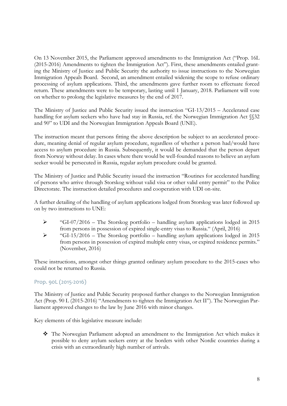On 13 November 2015, the Parliament approved amendments to the Immigration Act ("Prop. 16L (2015-2016) Amendments to tighten the Immigration Act"). First, these amendments entailed granting the Ministry of Justice and Public Security the authority to issue instructions to the Norwegian Immigration Appeals Board. Second, an amendment entailed widening the scope to refuse ordinary processing of asylum applications. Third, the amendments gave further room to effectuate forced return. These amendments were to be temporary, lasting until 1 January, 2018. Parliament will vote on whether to prolong the legislative measures by the end of 2017.

The Ministry of Justice and Public Security issued the instruction "GI-13/2015 – Accelerated case handling for asylum seekers who have had stay in Russia, ref. the Norwegian Immigration Act §§32 and 90" to UDI and the Norwegian Immigration Appeals Board (UNE).

The instruction meant that persons fitting the above description be subject to an accelerated procedure, meaning denial of regular asylum procedure, regardless of whether a person had/would have access to asylum procedure in Russia. Subsequently, it would be demanded that the person depart from Norway without delay. In cases where there would be well-founded reasons to believe an asylum seeker would be persecuted in Russia, regular asylum procedure could be granted.

The Ministry of Justice and Public Security issued the instruction "Routines for accelerated handling of persons who arrive through Storskog without valid visa or other valid entry permit" to the Police Directorate. The instruction detailed procedures and cooperation with UDI on-site.

A further detailing of the handling of asylum applications lodged from Storskog was later followed up on by two instructions to UNE:

- ➢ "GI-07/2016 The Storskog portfolio handling asylum applications lodged in 2015 from persons in possession of expired single-entry visas to Russia." (April, 2016)
- ➢ "GI-15/2016 The Storskog portfolio handling asylum applications lodged in 2015 from persons in possession of expired multiple entry visas, or expired residence permits." (November, 2016)

These instructions, amongst other things granted ordinary asylum procedure to the 2015-cases who could not be returned to Russia.

### Prop. 90L (2015-2016)

The Ministry of Justice and Public Security proposed further changes to the Norwegian Immigration Act (Prop. 90 L (2015-2016) "Amendments to tighten the Immigration Act II"). The Norwegian Parliament approved changes to the law by June 2016 with minor changes.

Key elements of this legislative measure include:

❖ The Norwegian Parliament adopted an amendment to the Immigration Act which makes it possible to deny asylum seekers entry at the borders with other Nordic countries during a crisis with an extraordinarily high number of arrivals.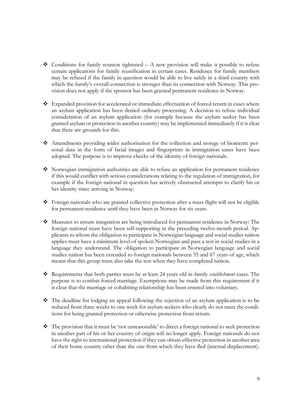- $\bullet$  Conditions for family reunion tightened A new provision will make it possible to refuse certain applications for family reunification in certain cases. Residence for family members may be refused if the family in question would be able to live safely in a third country with which the family's overall connection is stronger than its connection with Norway. This provision does not apply if the sponsor has been granted permanent residence in Norway.
- ❖ Expanded provision for accelerated or immediate effectuation of forced return in cases where an asylum application has been denied ordinary processing. A decision to refuse individual consideration of an asylum application (for example because the asylum seeker has been granted asylum or protection in another country) may be implemented immediately if it is clear that there are grounds for this.
- ❖ Amendments providing wider authorisation for the collection and storage of biometric personal data in the form of facial images and fingerprints in immigration cases have been adopted. The purpose is to improve checks of the identity of foreign nationals.
- ❖ Norwegian immigration authorities are able to refuse an application for permanent residence if this would conflict with serious considerations relating to the regulation of immigration, for example if the foreign national in question has actively obstructed attempts to clarify his or her identity since arriving in Norway.
- ❖ Foreign nationals who are granted collective protection after a mass flight will not be eligible for permanent residence until they have been in Norway for six years.
- ❖ Measures to ensure integration are being introduced for permanent residence in Norway: The foreign national must have been self-supporting in the preceding twelve-month period. Applicants to whom the obligation to participate in Norwegian language and social studies tuition applies must have a minimum level of spoken Norwegian and pass a test in social studies in a language they understand. The obligation to participate in Norwegian language and social studies tuition has been extended to foreign nationals between 55 and 67 years of age, which means that this group must also take the test when they have completed tuition.
- ❖ Requirements that both parties must be at least 24 years old in family *establishment* cases. The purpose is to combat forced marriage. Exemptions may be made from this requirement if it is clear that the marriage or cohabiting relationship has been entered into voluntary.
- ❖ The deadline for lodging an appeal following the rejection of an asylum application is to be reduced from three weeks to one week for asylum seekers who clearly do not meet the conditions for being granted protection or otherwise protection from return.
- ❖ The provision that it must be 'not unreasonable' to direct a foreign national to seek protection in another part of his or her country of origin will no longer apply. Foreign nationals do not have the right to international protection if they can obtain effective protection in another area of their home country other than the one from which they have fled (internal displacement).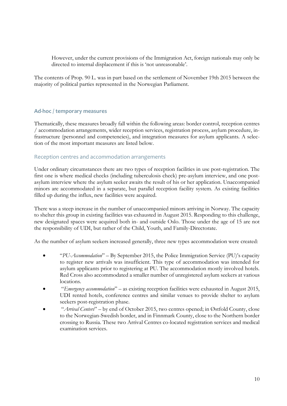However, under the current provisions of the Immigration Act, foreign nationals may only be directed to internal displacement if this is 'not unreasonable'.

The contents of Prop. 90 L. was in part based on the settlement of November 19th 2015 between the majority of political parties represented in the Norwegian Parliament.

#### <span id="page-9-0"></span>**Ad-hoc / temporary measures**

Thematically, these measures broadly fall within the following areas: border control, reception centres / accommodation arrangements, wider reception services, registration process, asylum procedure, infrastructure (personnel and competencies), and integration measures for asylum applicants. A selection of the most important measures are listed below.

#### Reception centres and accommodation arrangements

Under ordinary circumstances there are two types of reception facilities in use post-registration. The first one is where medical checks (including tuberculosis check) pre-asylum interview, and one postasylum interview where the asylum seeker awaits the result of his or her application. Unaccompanied minors are accommodated in a separate, but parallel reception facility system. As existing facilities filled up during the influx, new facilities were acquired.

There was a steep increase in the number of unaccompanied minors arriving in Norway. The capacity to shelter this group in existing facilities was exhausted in August 2015. Responding to this challenge, new designated spaces were acquired both in- and outside Oslo. Those under the age of 15 are not the responsibility of UDI, but rather of the Child, Youth, and Family-Directorate.

As the number of asylum seekers increased generally, three new types accommodation were created:

- "*PU-Accommodation*" By September 2015, the Police Immigration Service (PU)'s capacity to register new arrivals was insufficient. This type of accommodation was intended for asylum applicants prior to registering at PU. The accommodation mostly involved hotels. Red Cross also accommodated a smaller number of unregistered asylum seekers at various locations.
- "*Emergency accommodation*" as existing reception facilities were exhausted in August 2015, UDI rented hotels, conference centres and similar venues to provide shelter to asylum seekers post-registration phase.
- "*Arrival Centers*" by end of October 2015, two centres opened; in Østfold County, close to the Norwegian-Swedish border, and in Finnmark County, close to the Northern border crossing to Russia. These two Arrival Centres co-located registration services and medical examination services.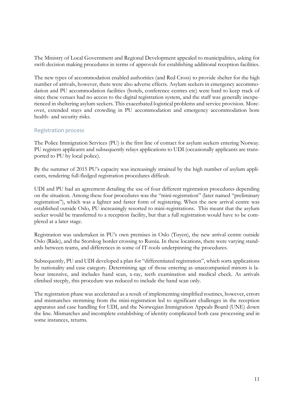The Ministry of Local Government and Regional Development appealed to municipalities, asking for swift decision making procedures in terms of approvals for establishing additional reception facilities.

The new types of accommodation enabled authorities (and Red Cross) to provide shelter for the high number of arrivals, however, there were also adverse effects. Asylum seekers in emergency accommodation and PU accommodation facilities (hotels, conference centres etc) were hard to keep track of since these venues had no access to the digital registration system, and the staff was generally inexperienced in sheltering asylum seekers. This exacerbated logistical problems and service provision. Moreover, extended stays and crowding in PU accommodation and emergency accommodation bore health- and security risks.

#### Registration process

The Police Immigration Services (PU) is the first line of contact for asylum seekers entering Norway. PU registers applicants and subsequently relays applications to UDI (occasionally applicants are transported to PU by local police).

By the summer of 2015 PU's capacity was increasingly strained by the high number of asylum applicants, rendering full-fledged registration procedures difficult.

UDI and PU had an agreement detailing the use of four different registration procedures depending on the situation. Among these four procedures was the "mini-registration" (later named "preliminary registration"), which was a lighter and faster form of registering. When the new arrival centre was established outside Oslo, PU increasingly resorted to mini-registrations. This meant that the asylum seeker would be transferred to a reception facility, but that a full registration would have to be completed at a later stage.

Registration was undertaken in PU's own premises in Oslo (Tøyen), the new arrival centre outside Oslo (Råde), and the Storskog border crossing to Russia. In these locations, there were varying standards between teams, and differences in some of IT-tools underpinning the procedures.

Subsequently, PU and UDI developed a plan for "differentiated registration", which sorts applications by nationality and case category. Determining age of those entering as unaccompanied minors is labour intensive, and includes hand scan, x-ray, teeth examination and medical check. As arrivals climbed steeply, this procedure was reduced to include the hand scan only.

The registration phase was accelerated as a result of implementing simplified routines, however, errors and mismatches stemming from the mini-registration led to significant challenges in the reception apparatus and case handling for UDI, and the Norwegian Immigration Appeals Board (UNE) down the line. Mismatches and incomplete establishing of identity complicated both case processing and in some instances, returns.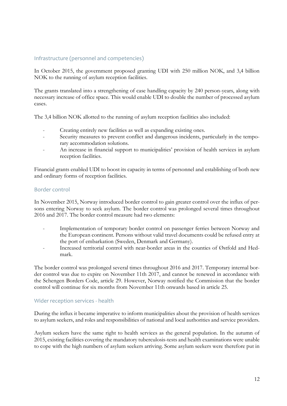### Infrastructure (personnel and competencies)

In October 2015, the government proposed granting UDI with 250 million NOK, and 3,4 billion NOK to the running of asylum reception facilities.

The grants translated into a strengthening of case handling capacity by 240 person-years, along with necessary increase of office space. This would enable UDI to double the number of processed asylum cases.

The 3,4 billion NOK allotted to the running of asylum reception facilities also included:

- Creating entirely new facilities as well as expanding existing ones.
- Security measures to prevent conflict and dangerous incidents, particularly in the temporary accommodation solutions.
- An increase in financial support to municipalities' provision of health services in asylum reception facilities.

Financial grants enabled UDI to boost its capacity in terms of personnel and establishing of both new and ordinary forms of reception facilities.

#### Border control

In November 2015, Norway introduced border control to gain greater control over the influx of persons entering Norway to seek asylum. The border control was prolonged several times throughout 2016 and 2017. The border control measure had two elements:

- Implementation of temporary border control on passenger ferries between Norway and the European continent. Persons without valid travel documents could be refused entry at the port of embarkation (Sweden, Denmark and Germany).
- Increased territorial control with near-border areas in the counties of Østfold and Hedmark.

The border control was prolonged several times throughout 2016 and 2017. Temporary internal border control was due to expire on November 11th 2017, and cannot be renewed in accordance with the Schengen Borders Code, article 29. However, Norway notified the Commission that the border control will continue for six months from November 11th onwards based in article 25.

### Wider reception services - health

During the influx it became imperative to inform municipalities about the provision of health services to asylum seekers, and roles and responsibilities of national and local authorities and service providers.

Asylum seekers have the same right to health services as the general population. In the autumn of 2015, existing facilities covering the mandatory tuberculosis-tests and health examinations were unable to cope with the high numbers of asylum seekers arriving. Some asylum seekers were therefore put in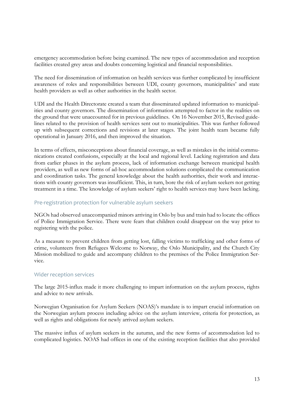emergency accommodation before being examined. The new types of accommodation and reception facilities created grey areas and doubts concerning logistical and financial responsibilities.

The need for dissemination of information on health services was further complicated by insufficient awareness of roles and responsibilities between UDI, county governors, municipalities' and state health providers as well as other authorities in the health sector.

UDI and the Health Directorate created a team that disseminated updated information to municipalities and county governors. The dissemination of information attempted to factor in the realities on the ground that were unaccounted for in previous guidelines. On 16 November 2015, Revised guidelines related to the provision of health services sent out to municipalities. This was further followed up with subsequent corrections and revisions at later stages. The joint health team became fully operational in January 2016, and then improved the situation.

In terms of effects, misconceptions about financial coverage, as well as mistakes in the initial communications created confusions, especially at the local and regional level. Lacking registration and data from earlier phases in the asylum process, lack of information exchange between municipal health providers, as well as new forms of ad-hoc accommodation solutions complicated the communication and coordination tasks. The general knowledge about the health authorities, their work and interactions with county governors was insufficient. This, in turn, bore the risk of asylum seekers not getting treatment in a time. The knowledge of asylum seekers' right to health services may have been lacking.

#### Pre-registration protection for vulnerable asylum seekers

NGOs had observed unaccompanied minors arriving in Oslo by bus and train had to locate the offices of Police Immigration Service. There were fears that children could disappear on the way prior to registering with the police.

As a measure to prevent children from getting lost, falling victims to trafficking and other forms of crime, volunteers from Refugees Welcome to Norway, the Oslo Municipality, and the Church City Mission mobilized to guide and accompany children to the premises of the Police Immigration Service.

### Wider reception services

The large 2015-influx made it more challenging to impart information on the asylum process, rights and advice to new arrivals.

Norwegian Organisation for Asylum Seekers (NOAS)'s mandate is to impart crucial information on the Norwegian asylum process including advice on the asylum interview, criteria for protection, as well as rights and obligations for newly arrived asylum seekers.

The massive influx of asylum seekers in the autumn, and the new forms of accommodation led to complicated logistics. NOAS had offices in one of the existing reception facilities that also provided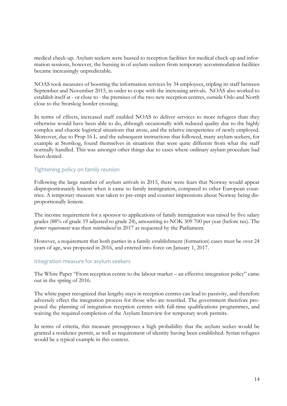medical check-up. Asylum seekers were bussed to reception facilities for medical check-up and information sessions, however, the bussing in of asylum seekers from temporary accommodation facilities became increasingly unpredictable.

NOAS took measures of boosting the information services by 34 employees, tripling its staff between September and November 2015, in order to cope with the increasing arrivals. NOAS also worked to establish itself at - or close to - the premises of the two new reception centres, outside Oslo and North close to the Storskog border crossing.

In terms of effects, increased staff enabled NOAS to deliver services to more refugees than they otherwise would have been able to do, although occasionally with reduced quality due to the highly complex and chaotic logistical situations that arose, and the relative inexperience of newly employed. Moreover, due to Prop 16 L. and the subsequent instructions that followed, many asylum seekers, for example at Storskog, found themselves in situations that were quite different from what the staff normally handled. This was amongst other things due to cases where ordinary asylum procedure had been denied.

#### Tightening policy on family reunion

Following the large number of asylum arrivals in 2015, there were fears that Norway would appear disproportionately lenient when it came to family immigration, compared to other European countries. A temporary measure was taken to pre-empt and counter impressions about Norway being disproportionally lenient.

The income requirement for a sponsor to applications of family immigration was raised by five salary grades (88% of grade 19 adjusted to grade 24), amounting to NOK 309 700 per year (before tax). The *former requirement* was then *reintroduced* in 2017 as requested by the Parliament.

However, a requirement that both parties in a family establishment (formation) cases must be over 24 years of age, was proposed in 2016, and entered into force on January 1, 2017.

#### Integration measure for asylum seekers

The White Paper "From reception centre to the labour market – an effective integration policy" came out in the spring of 2016.

The white paper recognized that lengthy stays in reception centres can lead to passivity, and therefore adversely effect the integration process for those who are resettled. The government therefore proposed the planning of integration reception centres with full-time qualifications programmes, and waiving the required completion of the Asylum Interview for temporary work permits.

In terms of criteria, this measure presupposes a high probability that the asylum seeker would be granted a residence permit, as well as requirement of identity having been established. Syrian refugees would be a typical example in this context.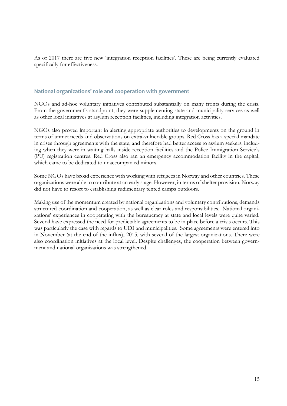As of 2017 there are five new 'integration reception facilities'. These are being currently evaluated specifically for effectiveness.

#### **National organizations' role and cooperation with government**

NGOs and ad-hoc voluntary initiatives contributed substantially on many fronts during the crisis. From the government's standpoint, they were supplementing state and municipality services as well as other local initiatives at asylum reception facilities, including integration activities.

NGOs also proved important in alerting appropriate authorities to developments on the ground in terms of unmet needs and observations on extra-vulnerable groups. Red Cross has a special mandate in crises through agreements with the state, and therefore had better access to asylum seekers, including when they were in waiting halls inside reception facilities and the Police Immigration Service's (PU) registration centres. Red Cross also ran an emergency accommodation facility in the capital, which came to be dedicated to unaccompanied minors.

Some NGOs have broad experience with working with refugees in Norway and other countries. These organizations were able to contribute at an early stage. However, in terms of shelter provision, Norway did not have to resort to establishing rudimentary tented camps outdoors.

Making use of the momentum created by national organizations and voluntary contributions, demands structured coordination and cooperation, as well as clear roles and responsibilities. National organizations' experiences in cooperating with the bureaucracy at state and local levels were quite varied. Several have expressed the need for predictable agreements to be in place before a crisis occurs. This was particularly the case with regards to UDI and municipalities. Some agreements were entered into in November (at the end of the influx), 2015, with several of the largest organizations. There were also coordination initiatives at the local level. Despite challenges, the cooperation between government and national organizations was strengthened.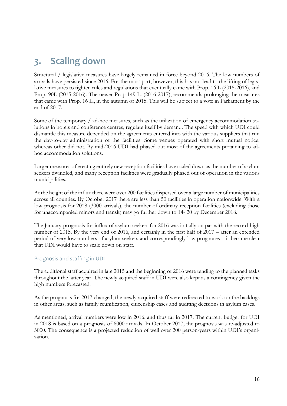## <span id="page-15-0"></span>**3. Scaling down**

Structural / legislative measures have largely remained in force beyond 2016. The low numbers of arrivals have persisted since 2016. For the most part, however, this has not lead to the lifting of legislative measures to tighten rules and regulations that eventually came with Prop. 16 L (2015-2016), and Prop. 90L (2015-2016). The newer Prop 149 L. (2016-2017), recommends prolonging the measures that came with Prop. 16 L., in the autumn of 2015. This will be subject to a vote in Parliament by the end of 2017.

Some of the temporary / ad-hoc measures, such as the utilization of emergency accommodation solutions in hotels and conference centres, regulate itself by demand. The speed with which UDI could dismantle this measure depended on the agreements entered into with the various suppliers that run the day-to-day administration of the facilities. Some venues operated with short mutual notice, whereas other did not. By mid-2016 UDI had phased out most of the agreements pertaining to adhoc accommodation solutions.

Larger measures of erecting entirely new reception facilities have scaled down as the number of asylum seekers dwindled, and many reception facilities were gradually phased out of operation in the various municipalities.

At the height of the influx there were over 200 facilities dispersed over a large number of municipalities across all counties. By October 2017 there are less than 50 facilities in operation nationwide. With a low prognosis for 2018 (3000 arrivals), the number of ordinary reception facilities (excluding those for unaccompanied minors and transit) may go further down to 14- 20 by December 2018.

The January-prognosis for influx of asylum seekers for 2016 was initially on par with the record-high number of 2015. By the very end of 2016, and certainly in the first half of 2017 – after an extended period of very low numbers of asylum seekers and correspondingly low prognoses – it became clear that UDI would have to scale down on staff.

### Prognosis and staffing in UDI

The additional staff acquired in late 2015 and the beginning of 2016 were tending to the planned tasks throughout the latter year. The newly acquired staff in UDI were also kept as a contingency given the high numbers forecasted.

As the prognosis for 2017 changed, the newly-acquired staff were redirected to work on the backlogs in other areas, such as family reunification, citizenship cases and auditing decisions in asylum cases.

<span id="page-15-1"></span>As mentioned, arrival numbers were low in 2016, and thus far in 2017. The current budget for UDI in 2018 is based on a prognosis of 6000 arrivals. In October 2017, the prognosis was re-adjusted to 3000. The consequence is a projected reduction of well over 200 person-years within UDI's organization.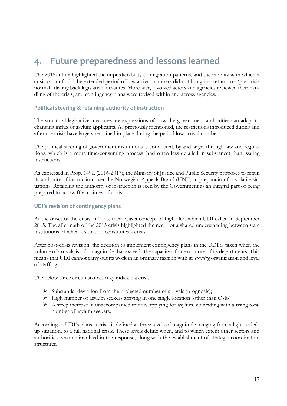## **4. Future preparedness and lessons learned**

The 2015-influx highlighted the unpredictability of migration patterns, and the rapidity with which a crisis can unfold. The extended period of low arrival numbers did not bring in a return to a 'pre-crisis normal', dialing back legislative measures. Moreover, involved actors and agencies reviewed their handling of the crisis, and contingency plans were revised within and across agencies.

#### **Political steering & retaining authority of instruction**

The structural legislative measures are expressions of how the government authorities can adapt to changing influx of asylum applicants. As previously mentioned, the restrictions introduced during and after the crisis have largely remained in place during the period low arrival numbers.

The political steering of government institutions is conducted, by and large, through law and regulations, which is a more time-consuming process (and often less detailed in substance) than issuing instructions.

As expressed in Prop. 149L (2016-2017), the Ministry of Justice and Public Security proposes to retain its authority of instruction over the Norwegian Appeals Board (UNE) in preparation for volatile situations. Retaining the authority of instruction is seen by the Government as an integral part of being prepared to act swiftly in times of crisis.

#### **UDI's revision of contingency plans**

At the onset of the crisis in 2015, there was a concept of high alert which UDI called in September 2015. The aftermath of the 2015 crisis highlighted the need for a shared understanding between state institutions of when a situation constitutes a crisis.

After post-crisis revision, the decision to implement contingency plans in the UDI is taken when the volume of arrivals is of a magnitude that exceeds the capacity of one or more of its departments. This means that UDI cannot carry out its work in an ordinary fashion with its *existing* organization and level of staffing.

The below three circumstances may indicate a crisis:

- ➢ Substantial deviation from the projected number of arrivals (prognosis);
- ➢ High number of asylum seekers arriving in one single location (other than Oslo)
- ➢ A steep increase in unaccompanied minors applying for asylum, coinciding with a rising total number of asylum seekers.

According to UDI's plans, a crisis is defined as three levels of magnitude, ranging from a light scaledup situation, to a full national crisis. These levels define when, and to which extent other sectors and authorities become involved in the response, along with the establishment of strategic coordination structures.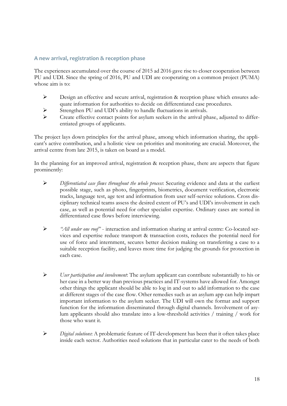#### **A new arrival, registration & reception phase**

The experiences accumulated over the course of 2015 ad 2016 gave rise to closer cooperation between PU and UDI. Since the spring of 2016, PU and UDI are cooperating on a common project (PUMA) whose aim is to:

- ➢ Design an effective and secure arrival, registration & reception phase which ensures adequate information for authorities to decide on differentiated case procedures.
- ➢ Strengthen PU and UDI's ability to handle fluctuations in arrivals.
- ➢ Create effective contact points for asylum seekers in the arrival phase, adjusted to differentiated groups of applicants.

The project lays down principles for the arrival phase, among which information sharing, the applicant's active contribution, and a holistic view on priorities and monitoring are crucial. Moreover, the arrival centre from late 2015, is taken on board as a model.

In the planning for an improved arrival, registration & reception phase, there are aspects that figure prominently:

- ➢ *Differentiated case flows throughout the whole process*: Securing evidence and data at the earliest possible stage, such as photo, fingerprints, biometrics, document verification, electronic tracks, language test, age test and information from user self-service solutions. Cross disciplinary technical teams assess the desired extent of PU's and UDI's involvement in each case, as well as potential need for other specialist expertise. Ordinary cases are sorted in differentiated case flows before interviewing.
- ➢ *"All under one roof"* interaction and information sharing at arrival centre: Co-located services and expertise reduce transport & transaction costs, reduces the potential need for use of force and internment, secures better decision making on transferring a case to a suitable reception facility, and leaves more time for judging the grounds for protection in each case.
- ➢ *User participation and involvement*: The asylum applicant can contribute substantially to his or her case in a better way than previous practices and IT-systems have allowed for. Amongst other things the applicant should be able to log in and out to add information to the case at different stages of the case flow. Other remedies such as an asylum app can help impart important information to the asylum seeker. The UDI will own the format and support function for the information disseminated through digital channels. Involvement of asylum applicants should also translate into a low-threshold activities / training / work for those who want it.
- ➢ *Digital solutions*: A problematic feature of IT-development has been that it often takes place inside each sector. Authorities need solutions that in particular cater to the needs of both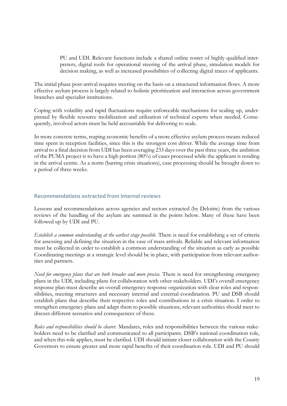PU and UDI. Relevant functions include a shared online roster of highly qualified interpreters, digital tools for operational steering of the arrival phase, simulation models for decision making, as well as increased possibilities of collecting digital traces of applicants.

The initial phase post-arrival requires steering on the basis on a structured information flows. A more effective asylum process is largely related to holistic prioritization and interaction across government branches and specialist institutions.

Coping with volatility and rapid fluctuations require enforceable mechanisms for scaling up, underpinned by flexible resource mobilization and utilization of technical experts when needed. Consequently, involved actors must be held accountable for delivering to scale.

In more concrete terms, reaping economic benefits of a more effective asylum process means reduced time spent in reception facilities, since this is the strongest cost driver. While the average time from arrival to a final decision from UDI has been averaging 233 days over the past three years, the ambition of the PUMA project is to have a high portion (80%) of cases processed while the applicant is residing in the arrival centre. As a norm (barring crisis situations), case processing should be brought down to a period of three weeks.

#### **Recommendations extracted from internal reviews**

Lessons and recommendations across agencies and sectors extracted (by Deloitte) from the various reviews of the handling of the asylum are summed in the points below. Many of these have been followed up by UDI and PU.

*Establish a common understanding at the earliest stage possible.* There is need for establishing a set of criteria for assessing and defining the situation in the case of mass arrivals. Reliable and relevant information must be collected in order to establish a common understanding of the situation as early as possible Coordinating meetings at a strategic level should be in place, with participation from relevant authorities and partners.

*Need for emergency plans that are both broader and more precise.* There is need for strengthening emergency plans in the UDI, including plans for collaboration with other stakeholders. UDI's overall emergency response plan must describe an overall emergency response organization with clear roles and responsibilities, meeting structures and necessary internal and external coordination. PU and DSB should establish plans that describe their respective roles and contributions in a crisis situation. I order to strengthen emergency plans and adapt them to possible situations, relevant authorities should meet to discuss different scenarios and consequences of these.

*Roles and responsibilities should be clearer.* Mandates, roles and responsibilities between the various stakeholders need to be clarified and communicated to all participants. DSB's national coordination role, and when this role applies, must be clarified. UDI should initiate closer collaboration with the County Governors to ensure greater and more rapid benefits of their coordination role. UDI and PU should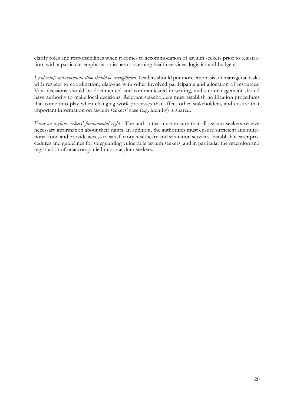clarify roles and responsibilities when it comes to accommodation of asylum seekers prior to registration, with a particular emphasis on issues concerning health services, logistics and budgets.

*Leadership and communication should be strengthened.* Leaders should put more emphasis on managerial tasks with respect to coordination, dialogue with other involved participants and allocation of resources. Vital decisions should be documented and communicated in writing, and site management should have authority to make local decisions. Relevant stakeholders must establish notification procedures that come into play when changing work processes that affect other stakeholders, and ensure that important information on asylum seekers' case (e.g. identity) is shared.

*Focus on asylum seekers' fundamental rights.* The authorities must ensure that all asylum seekers receive necessary information about their rights. In addition, the authorities must ensure sufficient and nutritional food and provide access to satisfactory healthcare and sanitation services. Establish clearer procedures and guidelines for safeguarding vulnerable asylum seekers, and in particular the reception and registration of unaccompanied minor asylum seekers.